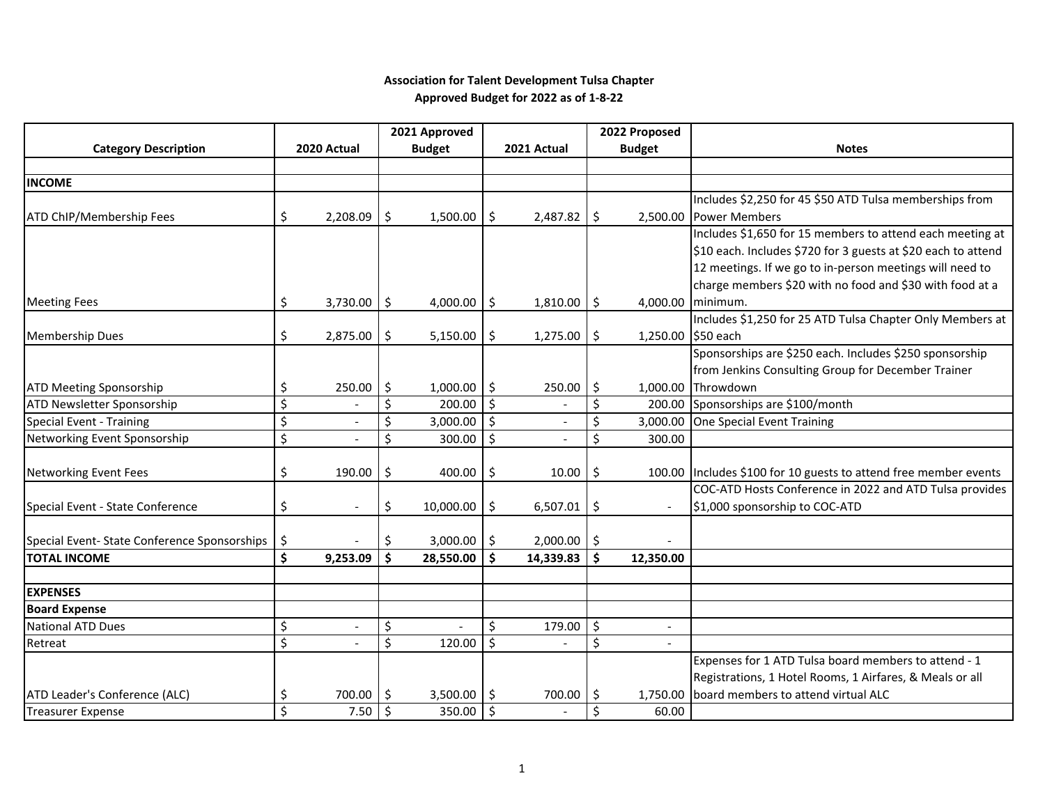## **Association for Talent Development Tulsa Chapter Approved Budget for 2022 as of 1-8-22**

|                                                                     |                    |                          |                     | 2021 Approved |                     |                |         | 2022 Proposed      |                                                                  |
|---------------------------------------------------------------------|--------------------|--------------------------|---------------------|---------------|---------------------|----------------|---------|--------------------|------------------------------------------------------------------|
| <b>Category Description</b>                                         |                    | 2020 Actual              |                     | <b>Budget</b> |                     | 2021 Actual    |         | <b>Budget</b>      | <b>Notes</b>                                                     |
|                                                                     |                    |                          |                     |               |                     |                |         |                    |                                                                  |
| <b>INCOME</b>                                                       |                    |                          |                     |               |                     |                |         |                    |                                                                  |
|                                                                     |                    |                          |                     |               |                     |                |         |                    | Includes \$2,250 for 45 \$50 ATD Tulsa memberships from          |
| ATD ChIP/Membership Fees                                            | \$                 | 2,208.09                 | \$                  | 1,500.00      | Ŝ.                  | 2,487.82       | \$      |                    | 2,500.00 Power Members                                           |
|                                                                     |                    |                          |                     |               |                     |                |         |                    | Includes \$1,650 for 15 members to attend each meeting at        |
|                                                                     |                    |                          |                     |               |                     |                |         |                    | \$10 each. Includes \$720 for 3 guests at \$20 each to attend    |
|                                                                     |                    |                          |                     |               |                     |                |         |                    | 12 meetings. If we go to in-person meetings will need to         |
|                                                                     |                    |                          |                     |               |                     |                |         |                    | charge members \$20 with no food and \$30 with food at a         |
| <b>Meeting Fees</b>                                                 | \$                 | 3,730.00                 | $\ddot{\mathsf{S}}$ | 4,000.00      | Ŝ.                  | 1,810.00       | \$      |                    | 4,000.00 minimum.                                                |
|                                                                     |                    |                          |                     |               |                     |                |         |                    | Includes \$1,250 for 25 ATD Tulsa Chapter Only Members at        |
| <b>Membership Dues</b>                                              | \$                 | 2,875.00                 | \$                  | 5,150.00      | \$                  | 1,275.00       | $\zeta$ | 1,250.00 \$50 each |                                                                  |
|                                                                     |                    |                          |                     |               |                     |                |         |                    | Sponsorships are \$250 each. Includes \$250 sponsorship          |
|                                                                     |                    |                          |                     |               |                     |                |         |                    | from Jenkins Consulting Group for December Trainer               |
| <b>ATD Meeting Sponsorship</b>                                      | \$                 | 250.00                   | \$                  | 1,000.00      | ا \$                | 250.00         | \$      |                    | 1,000.00 Throwdown                                               |
| ATD Newsletter Sponsorship                                          | \$                 |                          | \$                  | 200.00        | $\ddot{\mathsf{S}}$ |                | $\zeta$ |                    | 200.00 Sponsorships are \$100/month                              |
| <b>Special Event - Training</b>                                     | \$                 | $\overline{\phantom{a}}$ | \$                  | 3,000.00      | l \$                | $\overline{a}$ | $\zeta$ |                    | 3,000.00 One Special Event Training                              |
| Networking Event Sponsorship                                        | \$                 |                          | \$                  | 300.00        | \$                  |                | \$      | 300.00             |                                                                  |
|                                                                     |                    |                          |                     |               |                     |                |         |                    |                                                                  |
| <b>Networking Event Fees</b>                                        | \$                 | 190.00                   | \$                  | 400.00        | \$                  | 10.00          | $\zeta$ |                    | 100.00 Includes \$100 for 10 guests to attend free member events |
|                                                                     |                    |                          |                     |               |                     |                |         |                    | COC-ATD Hosts Conference in 2022 and ATD Tulsa provides          |
| Special Event - State Conference                                    | \$                 | $\overline{a}$           | \$                  | 10,000.00     | \$                  | 6,507.01       | \$      |                    | \$1,000 sponsorship to COC-ATD                                   |
|                                                                     |                    |                          |                     |               |                     |                |         |                    |                                                                  |
| Special Event- State Conference Sponsorships<br><b>TOTAL INCOME</b> | \$                 |                          | Ś.                  | 3,000.00      | ا \$                | 2,000.00       | $\zeta$ |                    |                                                                  |
|                                                                     | $\dot{\mathsf{s}}$ | 9,253.09                 | \$                  | 28,550.00     | Ŝ.                  | 14,339.83      | \$      | 12,350.00          |                                                                  |
| <b>EXPENSES</b>                                                     |                    |                          |                     |               |                     |                |         |                    |                                                                  |
| <b>Board Expense</b>                                                |                    |                          |                     |               |                     |                |         |                    |                                                                  |
| <b>National ATD Dues</b>                                            | \$                 | $\overline{\phantom{a}}$ | \$                  |               | \$                  | 179.00         | \$      |                    |                                                                  |
| Retreat                                                             | \$                 |                          | \$                  | 120.00        | \$                  |                | $\zeta$ |                    |                                                                  |
|                                                                     |                    |                          |                     |               |                     |                |         |                    | Expenses for 1 ATD Tulsa board members to attend - 1             |
|                                                                     |                    |                          |                     |               |                     |                |         |                    | Registrations, 1 Hotel Rooms, 1 Airfares, & Meals or all         |
| ATD Leader's Conference (ALC)                                       | \$                 | 700.00                   | \$                  | 3,500.00      | ۱\$                 | 700.00         | -\$     | 1.750.00           | board members to attend virtual ALC                              |
| <b>Treasurer Expense</b>                                            | \$                 | 7.50                     | $\ddot{\varsigma}$  | 350.00        | $\ddot{\mathsf{s}}$ |                | $\zeta$ | 60.00              |                                                                  |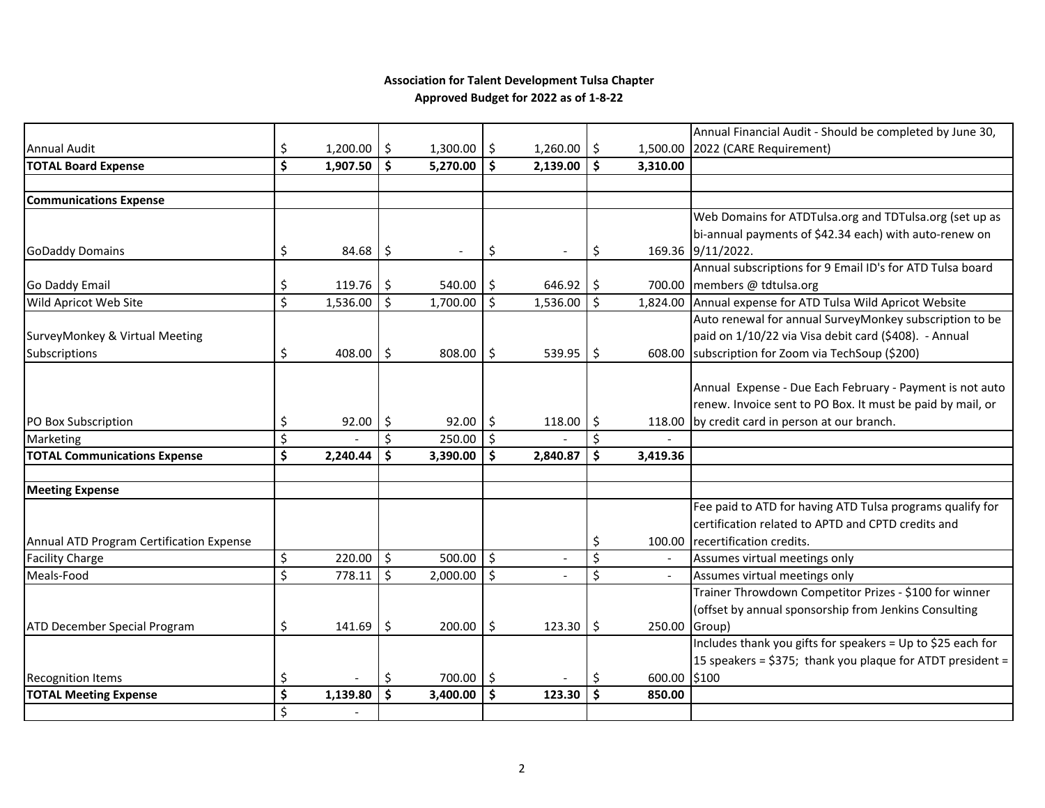## **Association for Talent Development Tulsa Chapter Approved Budget for 2022 as of 1-8-22**

|                                          |         |                      |              |          |              |          |     |              | Annual Financial Audit - Should be completed by June 30,    |
|------------------------------------------|---------|----------------------|--------------|----------|--------------|----------|-----|--------------|-------------------------------------------------------------|
| <b>Annual Audit</b>                      | \$      | $1,200.00$ \$        |              | 1,300.00 | Ŝ.           | 1,260.00 | \$  |              | 1,500.00 2022 (CARE Requirement)                            |
| <b>TOTAL Board Expense</b>               | \$      | 1,907.50             | Ŝ.           | 5,270.00 | Ŝ.           | 2,139.00 | \$  | 3,310.00     |                                                             |
|                                          |         |                      |              |          |              |          |     |              |                                                             |
| <b>Communications Expense</b>            |         |                      |              |          |              |          |     |              |                                                             |
|                                          |         |                      |              |          |              |          |     |              | Web Domains for ATDTulsa.org and TDTulsa.org (set up as     |
|                                          |         |                      |              |          |              |          |     |              | bi-annual payments of \$42.34 each) with auto-renew on      |
| <b>GoDaddy Domains</b>                   | \$      | $84.68$ \$           |              |          | \$           |          | \$  |              | 169.36 9/11/2022.                                           |
|                                          |         |                      |              |          |              |          |     |              | Annual subscriptions for 9 Email ID's for ATD Tulsa board   |
| <b>Go Daddy Email</b>                    | \$      | 119.76               | \$           | 540.00   | -S           | 646.92   | -\$ |              | 700.00 members @ tdtulsa.org                                |
| Wild Apricot Web Site                    | $\zeta$ | 1,536.00             | Ś.           | 1,700.00 | Ś.           | 1,536.00 | Ŝ.  | 1,824.00     | Annual expense for ATD Tulsa Wild Apricot Website           |
|                                          |         |                      |              |          |              |          |     |              | Auto renewal for annual SurveyMonkey subscription to be     |
| SurveyMonkey & Virtual Meeting           |         |                      |              |          |              |          |     |              | paid on 1/10/22 via Visa debit card (\$408). - Annual       |
| Subscriptions                            | \$      | 408.00 $\frac{1}{2}$ |              | 808.00   | 5            | 539.95   | Ŝ.  |              | 608.00 subscription for Zoom via TechSoup (\$200)           |
|                                          |         |                      |              |          |              |          |     |              |                                                             |
|                                          |         |                      |              |          |              |          |     |              | Annual Expense - Due Each February - Payment is not auto    |
|                                          |         |                      |              |          |              |          |     |              | renew. Invoice sent to PO Box. It must be paid by mail, or  |
| PO Box Subscription                      | \$      | $92.00$   \$         |              | 92.00    | l \$         | 118.00   | -\$ |              | 118.00 by credit card in person at our branch.              |
| Marketing                                | \$      |                      | \$           | 250.00   | $\zeta$      |          | \$  |              |                                                             |
| <b>TOTAL Communications Expense</b>      | \$      | 2,240.44             | Ŝ.           | 3,390.00 | Ŝ.           | 2,840.87 | \$  | 3,419.36     |                                                             |
|                                          |         |                      |              |          |              |          |     |              |                                                             |
| <b>Meeting Expense</b>                   |         |                      |              |          |              |          |     |              |                                                             |
|                                          |         |                      |              |          |              |          |     |              | Fee paid to ATD for having ATD Tulsa programs qualify for   |
|                                          |         |                      |              |          |              |          |     |              | certification related to APTD and CPTD credits and          |
| Annual ATD Program Certification Expense |         |                      |              |          |              |          | \$  |              | 100.00 recertification credits.                             |
| <b>Facility Charge</b>                   | \$      | 220.00               | $\vert$ \$   | 500.00   | $\mathsf{S}$ |          | \$  |              | Assumes virtual meetings only                               |
| Meals-Food                               | \$      | 778.11               | $\mathsf{S}$ | 2,000.00 | $\zeta$      |          | \$  |              | Assumes virtual meetings only                               |
|                                          |         |                      |              |          |              |          |     |              | Trainer Throwdown Competitor Prizes - \$100 for winner      |
|                                          |         |                      |              |          |              |          |     |              | (offset by annual sponsorship from Jenkins Consulting       |
| ATD December Special Program             | \$      | 141.69               | \$           | 200.00   | \$           | 123.30   | -\$ | 250.00       | Group)                                                      |
|                                          |         |                      |              |          |              |          |     |              | Includes thank you gifts for speakers = Up to \$25 each for |
|                                          |         |                      |              |          |              |          |     |              | 15 speakers = \$375; thank you plaque for ATDT president =  |
| <b>Recognition Items</b>                 | \$      |                      | \$           | 700.00   | I \$         |          | \$  | 600.00 \$100 |                                                             |
| <b>TOTAL Meeting Expense</b>             | \$      | 1,139.80             | Ś            | 3,400.00 | Ŝ.           | 123.30   | Ŝ.  | 850.00       |                                                             |
|                                          | \$      |                      |              |          |              |          |     |              |                                                             |